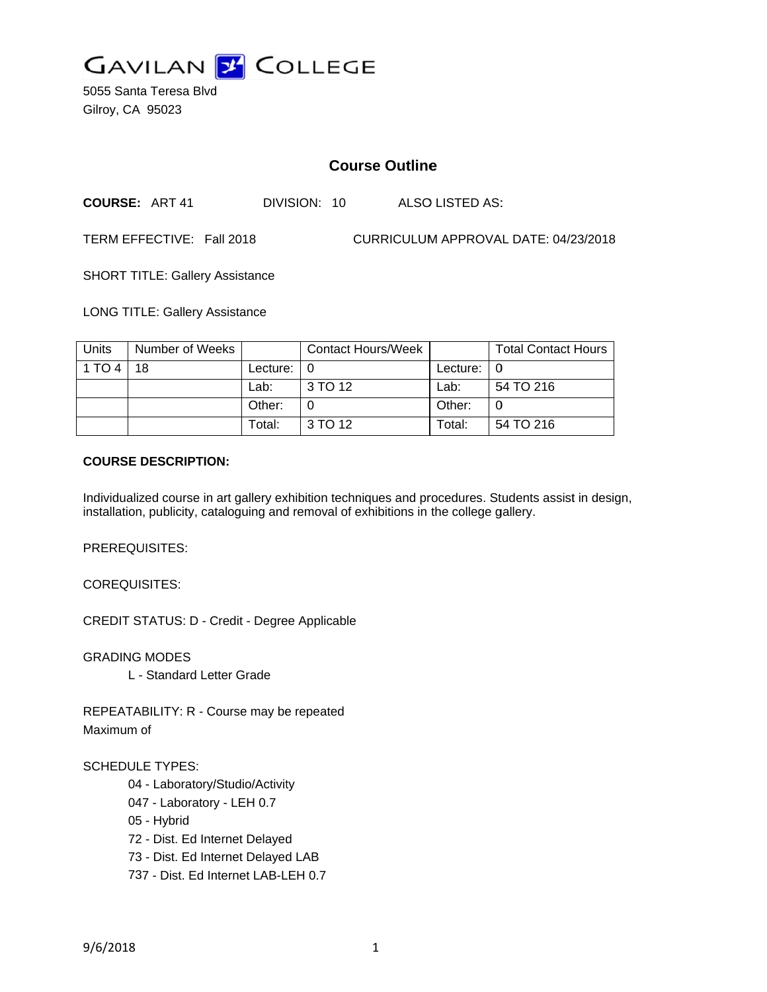

5055 Santa Teresa Blvd Gilroy, CA 95023

# **Course Outline**

**COURSE: ART 41** DIVISION: 10 **ALSO LISTED AS:** 

TERM EFFECTIVE: Fall 2018

CURRICULUM APPROVAL DATE: 04/23/2018

**SHORT TITLE: Gallery Assistance** 

**LONG TITLE: Gallery Assistance** 

| Units  | Number of Weeks |          | <b>Contact Hours/Week</b> |          | <b>Total Contact Hours</b> |
|--------|-----------------|----------|---------------------------|----------|----------------------------|
| 1 TO 4 | 18              | Lecture: |                           | Lecture: |                            |
|        |                 | Lab:     | 3 TO 12                   | Lab:     | 54 TO 216                  |
|        |                 | Other:   |                           | Other:   |                            |
|        |                 | Total:   | 3 TO 12                   | Total:   | 54 TO 216                  |

#### **COURSE DESCRIPTION:**

Individualized course in art gallery exhibition techniques and procedures. Students assist in design, installation, publicity, cataloguing and removal of exhibitions in the college gallery.

PREREQUISITES:

**COREQUISITES:** 

**CREDIT STATUS: D - Credit - Degree Applicable** 

**GRADING MODES** 

L - Standard Letter Grade

REPEATABILITY: R - Course may be repeated Maximum of

#### **SCHEDULE TYPES:**

- 04 Laboratory/Studio/Activity
- 047 Laboratory LEH 0.7

05 - Hybrid

72 - Dist. Ed Internet Delayed

73 - Dist. Ed Internet Delayed LAB

737 - Dist. Ed Internet LAB-LEH 0.7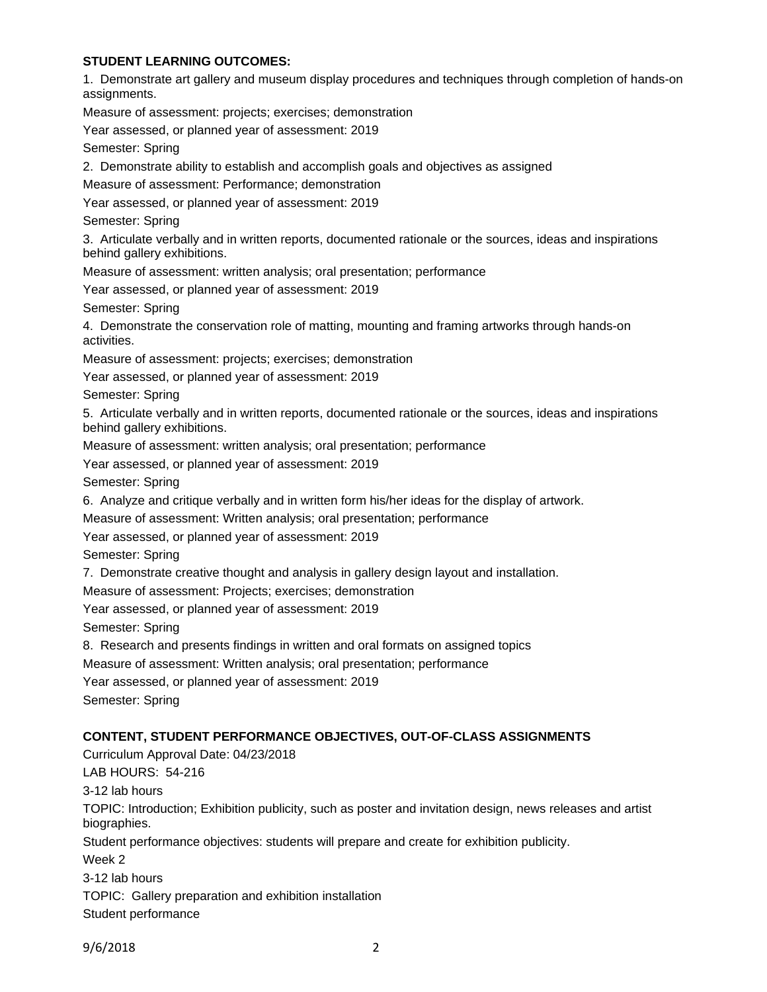### **STUDENT LEARNING OUTCOMES:**

1. Demonstrate art gallery and museum display procedures and techniques through completion of hands-on assignments. Measure of assessment: projects; exercises; demonstration Year assessed, or planned year of assessment: 2019 Semester: Spring 2. Demonstrate ability to establish and accomplish goals and objectives as assigned Measure of assessment: Performance; demonstration Year assessed, or planned year of assessment: 2019 Semester: Spring 3. Articulate verbally and in written reports, documented rationale or the sources, ideas and inspirations behind gallery exhibitions. Measure of assessment: written analysis; oral presentation; performance Year assessed, or planned year of assessment: 2019 Semester: Spring 4. Demonstrate the conservation role of matting, mounting and framing artworks through hands-on activities. Measure of assessment: projects; exercises; demonstration Year assessed, or planned year of assessment: 2019 Semester: Spring 5. Articulate verbally and in written reports, documented rationale or the sources, ideas and inspirations behind gallery exhibitions. Measure of assessment: written analysis; oral presentation; performance Year assessed, or planned year of assessment: 2019 Semester: Spring 6. Analyze and critique verbally and in written form his/her ideas for the display of artwork. Measure of assessment: Written analysis; oral presentation; performance Year assessed, or planned year of assessment: 2019 Semester: Spring 7. Demonstrate creative thought and analysis in gallery design layout and installation. Measure of assessment: Projects; exercises; demonstration Year assessed, or planned year of assessment: 2019 Semester: Spring 8. Research and presents findings in written and oral formats on assigned topics Measure of assessment: Written analysis; oral presentation; performance Year assessed, or planned year of assessment: 2019 Semester: Spring **CONTENT, STUDENT PERFORMANCE OBJECTIVES, OUT-OF-CLASS ASSIGNMENTS**  Curriculum Approval Date: 04/23/2018 LAB HOURS: 54-216 3-12 lab hours TOPIC: Introduction; Exhibition publicity, such as poster and invitation design, news releases and artist biographies. Student performance objectives: students will prepare and create for exhibition publicity. Week 2 3-12 lab hours TOPIC: Gallery preparation and exhibition installation Student performance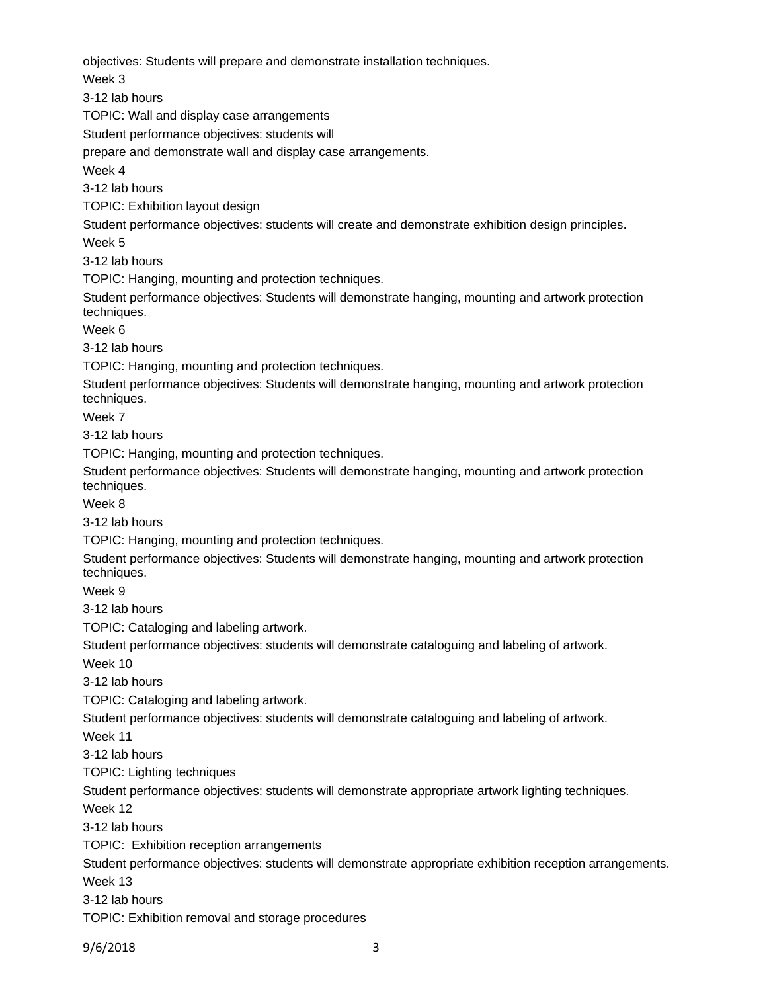objectives: Students will prepare and demonstrate installation techniques.

Week 3

3-12 lab hours

TOPIC: Wall and display case arrangements

Student performance objectives: students will

prepare and demonstrate wall and display case arrangements.

Week 4

3-12 lab hours

TOPIC: Exhibition layout design

Student performance objectives: students will create and demonstrate exhibition design principles.

Week 5

3-12 lab hours

TOPIC: Hanging, mounting and protection techniques.

Student performance objectives: Students will demonstrate hanging, mounting and artwork protection techniques.

Week 6

3-12 lab hours

TOPIC: Hanging, mounting and protection techniques.

Student performance objectives: Students will demonstrate hanging, mounting and artwork protection techniques.

Week 7

3-12 lab hours

TOPIC: Hanging, mounting and protection techniques.

Student performance objectives: Students will demonstrate hanging, mounting and artwork protection techniques.

Week 8

3-12 lab hours

TOPIC: Hanging, mounting and protection techniques.

Student performance objectives: Students will demonstrate hanging, mounting and artwork protection techniques.

Week 9

3-12 lab hours

TOPIC: Cataloging and labeling artwork.

Student performance objectives: students will demonstrate cataloguing and labeling of artwork.

Week 10

3-12 lab hours

TOPIC: Cataloging and labeling artwork.

Student performance objectives: students will demonstrate cataloguing and labeling of artwork.

Week 11

3-12 lab hours

TOPIC: Lighting techniques

Student performance objectives: students will demonstrate appropriate artwork lighting techniques.

Week 12

3-12 lab hours

TOPIC: Exhibition reception arrangements

Student performance objectives: students will demonstrate appropriate exhibition reception arrangements.

Week 13

3-12 lab hours

TOPIC: Exhibition removal and storage procedures

9/6/2018 3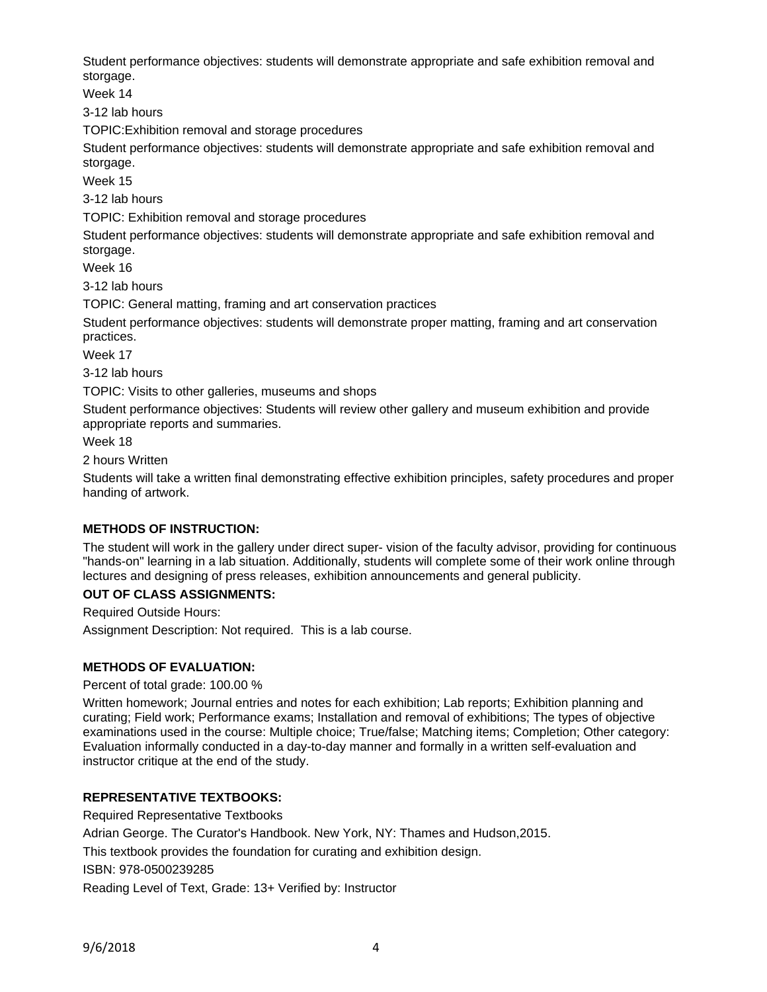Student performance objectives: students will demonstrate appropriate and safe exhibition removal and storgage.

Week 14

3-12 lab hours

TOPIC:Exhibition removal and storage procedures

Student performance objectives: students will demonstrate appropriate and safe exhibition removal and storgage.

Week 15

3-12 lab hours

TOPIC: Exhibition removal and storage procedures

Student performance objectives: students will demonstrate appropriate and safe exhibition removal and storgage.

Week 16

3-12 lab hours

TOPIC: General matting, framing and art conservation practices

Student performance objectives: students will demonstrate proper matting, framing and art conservation practices.

Week 17

3-12 lab hours

TOPIC: Visits to other galleries, museums and shops

Student performance objectives: Students will review other gallery and museum exhibition and provide appropriate reports and summaries.

Week 18

2 hours Written

Students will take a written final demonstrating effective exhibition principles, safety procedures and proper handing of artwork.

## **METHODS OF INSTRUCTION:**

The student will work in the gallery under direct super- vision of the faculty advisor, providing for continuous "hands-on" learning in a lab situation. Additionally, students will complete some of their work online through lectures and designing of press releases, exhibition announcements and general publicity.

#### **OUT OF CLASS ASSIGNMENTS:**

Required Outside Hours: Assignment Description: Not required. This is a lab course.

## **METHODS OF EVALUATION:**

Percent of total grade: 100.00 %

Written homework; Journal entries and notes for each exhibition; Lab reports; Exhibition planning and curating; Field work; Performance exams; Installation and removal of exhibitions; The types of objective examinations used in the course: Multiple choice; True/false; Matching items; Completion; Other category: Evaluation informally conducted in a day-to-day manner and formally in a written self-evaluation and instructor critique at the end of the study.

## **REPRESENTATIVE TEXTBOOKS:**

Required Representative Textbooks

Adrian George. The Curator's Handbook. New York, NY: Thames and Hudson,2015.

This textbook provides the foundation for curating and exhibition design.

ISBN: 978-0500239285

Reading Level of Text, Grade: 13+ Verified by: Instructor